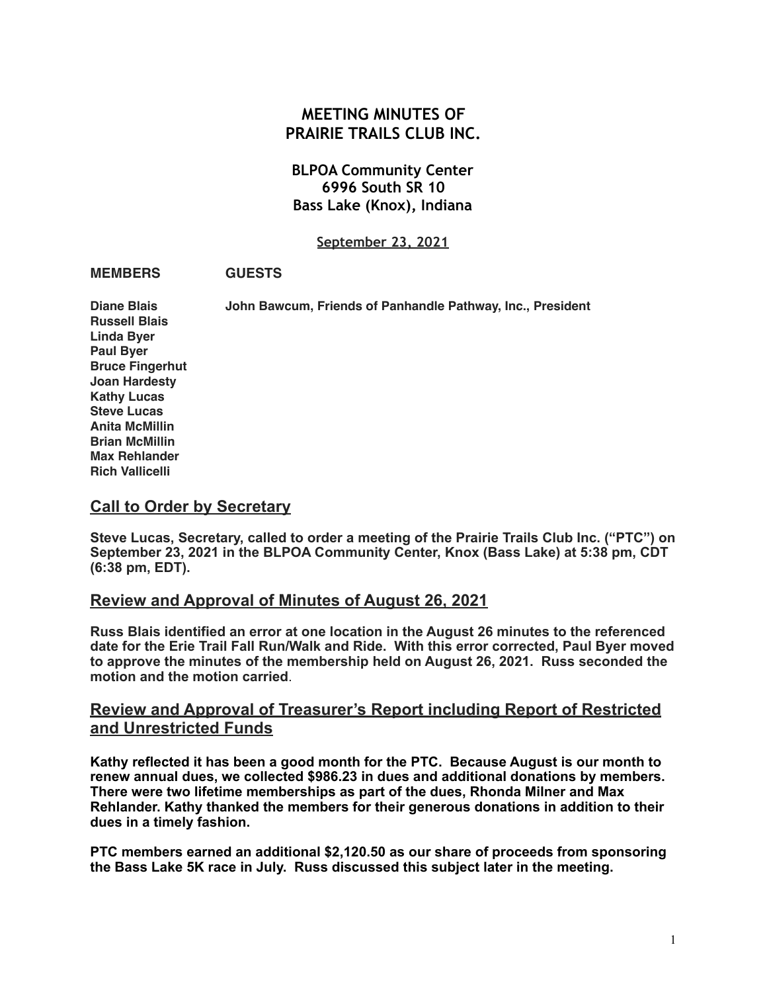# **MEETING MINUTES OF PRAIRIE TRAILS CLUB INC.**

## **BLPOA Community Center 6996 South SR 10 Bass Lake (Knox), Indiana**

**September 23, 2021**

#### **MEMBERS GUESTS**

**Russell Blais Linda Byer Paul Byer Bruce Fingerhut**

**Diane Blais John Bawcum, Friends of Panhandle Pathway, Inc., President**

**Joan Hardesty Kathy Lucas Steve Lucas Anita McMillin Brian McMillin Max Rehlander Rich Vallicelli**

### **Call to Order by Secretary**

**Steve Lucas, Secretary, called to order a meeting of the Prairie Trails Club Inc. ("PTC") on September 23, 2021 in the BLPOA Community Center, Knox (Bass Lake) at 5:38 pm, CDT (6:38 pm, EDT).** 

### **Review and Approval of Minutes of August 26, 2021**

**Russ Blais identified an error at one location in the August 26 minutes to the referenced date for the Erie Trail Fall Run/Walk and Ride. With this error corrected, Paul Byer moved to approve the minutes of the membership held on August 26, 2021. Russ seconded the motion and the motion carried**.

# **Review and Approval of Treasurer's Report including Report of Restricted and Unrestricted Funds**

**Kathy reflected it has been a good month for the PTC. Because August is our month to renew annual dues, we collected \$986.23 in dues and additional donations by members. There were two lifetime memberships as part of the dues, Rhonda Milner and Max Rehlander. Kathy thanked the members for their generous donations in addition to their dues in a timely fashion.** 

**PTC members earned an additional \$2,120.50 as our share of proceeds from sponsoring the Bass Lake 5K race in July. Russ discussed this subject later in the meeting.**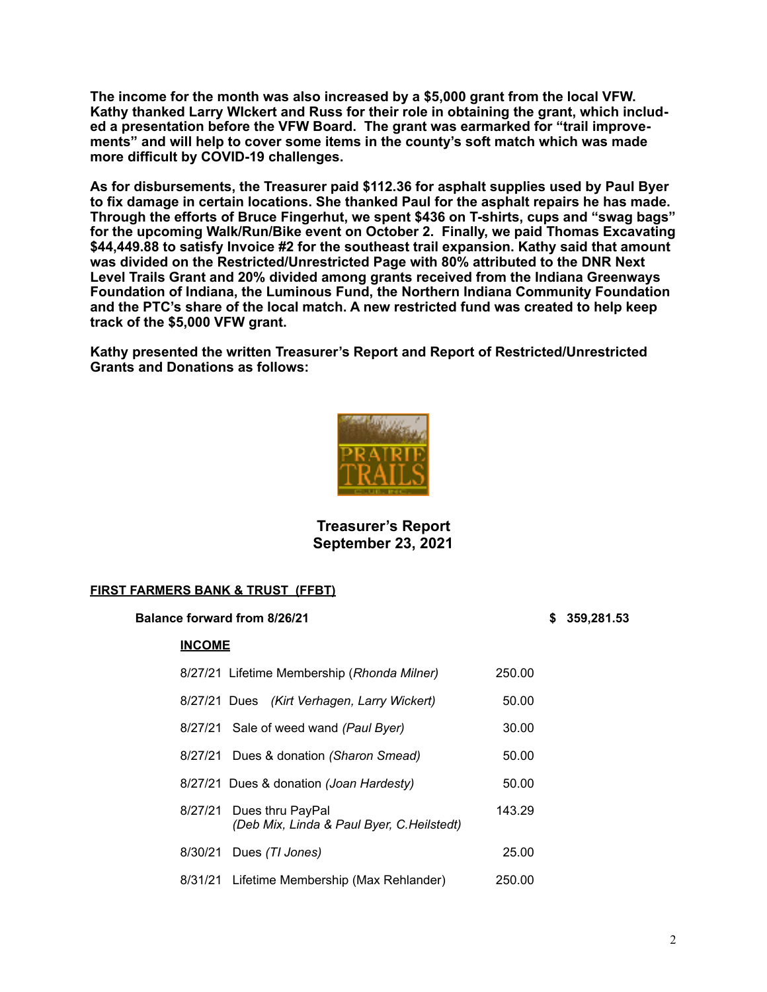**The income for the month was also increased by a \$5,000 grant from the local VFW. Kathy thanked Larry WIckert and Russ for their role in obtaining the grant, which included a presentation before the VFW Board. The grant was earmarked for "trail improvements" and will help to cover some items in the county's soft match which was made more difficult by COVID-19 challenges.** 

**As for disbursements, the Treasurer paid \$112.36 for asphalt supplies used by Paul Byer to fix damage in certain locations. She thanked Paul for the asphalt repairs he has made. Through the efforts of Bruce Fingerhut, we spent \$436 on T-shirts, cups and "swag bags" for the upcoming Walk/Run/Bike event on October 2. Finally, we paid Thomas Excavating \$44,449.88 to satisfy Invoice #2 for the southeast trail expansion. Kathy said that amount was divided on the Restricted/Unrestricted Page with 80% attributed to the DNR Next Level Trails Grant and 20% divided among grants received from the Indiana Greenways Foundation of Indiana, the Luminous Fund, the Northern Indiana Community Foundation and the PTC's share of the local match. A new restricted fund was created to help keep track of the \$5,000 VFW grant.**

**Kathy presented the written Treasurer's Report and Report of Restricted/Unrestricted Grants and Donations as follows:**



### **Treasurer's Report September 23, 2021**

### **FIRST FARMERS BANK & TRUST (FFBT)**

**Balance forward from 8/26/21****\$****359,281.53**

#### **INCOME**

|         | 8/27/21 Lifetime Membership (Rhonda Milner)                    | 250.00 |
|---------|----------------------------------------------------------------|--------|
|         | 8/27/21 Dues (Kirt Verhagen, Larry Wickert)                    | 50.00  |
|         | 8/27/21 Sale of weed wand (Paul Byer)                          | 30.00  |
|         | 8/27/21 Dues & donation (Sharon Smead)                         | 50.00  |
|         | 8/27/21 Dues & donation (Joan Hardesty)                        | 50.00  |
| 8/27/21 | Dues thru PayPal<br>(Deb Mix, Linda & Paul Byer, C. Heilstedt) | 143.29 |
| 8/30/21 | Dues (TI Jones)                                                | 25.00  |
|         | 8/31/21 Lifetime Membership (Max Rehlander)                    | 250.00 |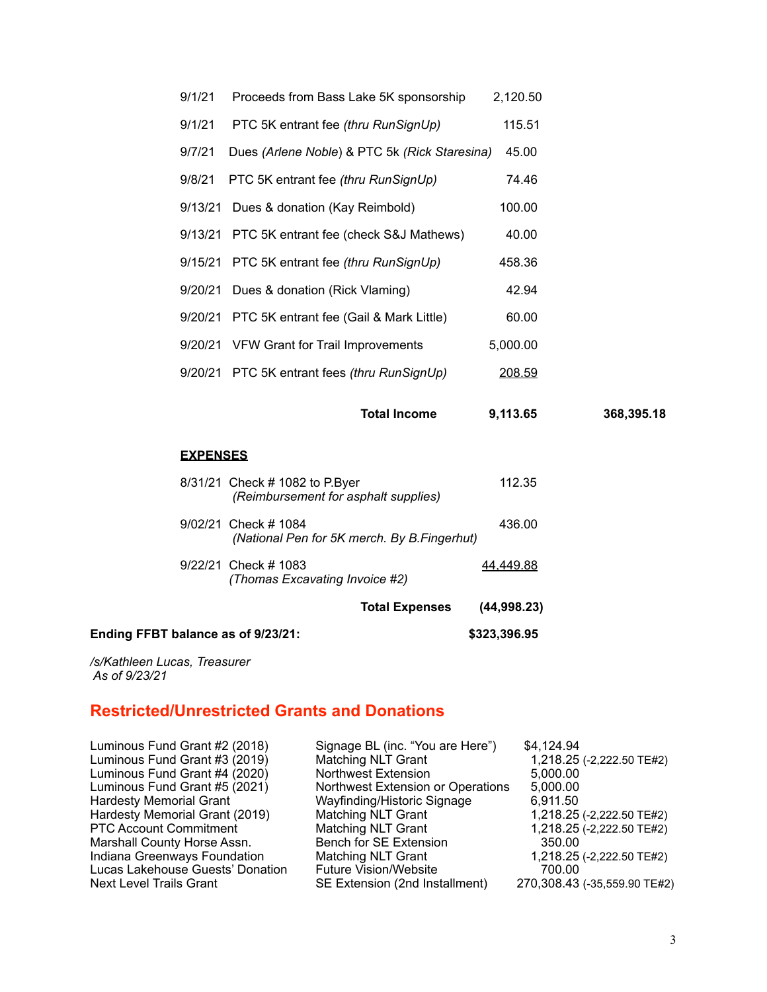| <b>EXPENSES</b> |                                                 |          |            |
|-----------------|-------------------------------------------------|----------|------------|
|                 | <b>Total Income</b>                             | 9,113.65 | 368,395.18 |
|                 | 9/20/21 PTC 5K entrant fees (thru RunSignUp)    | 208.59   |            |
|                 | 9/20/21 VFW Grant for Trail Improvements        | 5,000.00 |            |
|                 | 9/20/21 PTC 5K entrant fee (Gail & Mark Little) | 60.00    |            |
| 9/20/21         | Dues & donation (Rick Vlaming)                  | 42.94    |            |
|                 | 9/15/21 PTC 5K entrant fee (thru RunSignUp)     | 458.36   |            |
|                 | 9/13/21 PTC 5K entrant fee (check S&J Mathews)  | 40.00    |            |
| 9/13/21         | Dues & donation (Kay Reimbold)                  | 100.00   |            |
| 9/8/21          | PTC 5K entrant fee (thru RunSignUp)             | 74.46    |            |
| 9/7/21          | Dues (Arlene Noble) & PTC 5k (Rick Staresina)   | 45.00    |            |
| 9/1/21          | PTC 5K entrant fee (thru RunSignUp)             | 115.51   |            |
| 9/1/21          | Proceeds from Bass Lake 5K sponsorship          | 2,120.50 |            |

| (Thomas Excavating Invoice #2) |                                                        |
|--------------------------------|--------------------------------------------------------|
| 9/22/21 Check # 1083           | 44.449.88                                              |
| 9/02/21 Check # 1084           | 436.00<br>(National Pen for 5K merch. By B. Fingerhut) |
| 8/31/21 Check # 1082 to P.Byer | 112.35<br>(Reimbursement for asphalt supplies)         |

**Ending FFBT balance as of 9/23/21: \$323,396.95** 

*/s/Kathleen Lucas, Treasurer As of 9/23/21* 

# **Restricted/Unrestricted Grants and Donations**

| Luminous Fund Grant #3 (2019)<br><b>Matching NLT Grant</b><br>Luminous Fund Grant #4 (2020)<br><b>Northwest Extension</b><br>5,000.00<br>Luminous Fund Grant #5 (2021)<br>Northwest Extension or Operations<br>5,000.00<br><b>Hardesty Memorial Grant</b><br>Wayfinding/Historic Signage<br>6,911.50<br>Hardesty Memorial Grant (2019)<br><b>Matching NLT Grant</b><br><b>PTC Account Commitment</b><br><b>Matching NLT Grant</b><br>Marshall County Horse Assn.<br>Bench for SE Extension<br>350.00<br>Indiana Greenways Foundation<br><b>Matching NLT Grant</b><br>Lucas Lakehouse Guests' Donation<br><b>Future Vision/Website</b><br>700.00<br>SE Extension (2nd Installment)<br><b>Next Level Trails Grant</b> | Luminous Fund Grant #2 (2018) | Signage BL (inc. "You are Here") | \$4,124.94                   |
|---------------------------------------------------------------------------------------------------------------------------------------------------------------------------------------------------------------------------------------------------------------------------------------------------------------------------------------------------------------------------------------------------------------------------------------------------------------------------------------------------------------------------------------------------------------------------------------------------------------------------------------------------------------------------------------------------------------------|-------------------------------|----------------------------------|------------------------------|
|                                                                                                                                                                                                                                                                                                                                                                                                                                                                                                                                                                                                                                                                                                                     |                               |                                  | 1,218.25 (-2,222.50 TE#2)    |
|                                                                                                                                                                                                                                                                                                                                                                                                                                                                                                                                                                                                                                                                                                                     |                               |                                  |                              |
|                                                                                                                                                                                                                                                                                                                                                                                                                                                                                                                                                                                                                                                                                                                     |                               |                                  |                              |
|                                                                                                                                                                                                                                                                                                                                                                                                                                                                                                                                                                                                                                                                                                                     |                               |                                  |                              |
|                                                                                                                                                                                                                                                                                                                                                                                                                                                                                                                                                                                                                                                                                                                     |                               |                                  | 1,218.25 (-2,222.50 TE#2)    |
|                                                                                                                                                                                                                                                                                                                                                                                                                                                                                                                                                                                                                                                                                                                     |                               |                                  | 1,218.25 (-2,222.50 TE#2)    |
|                                                                                                                                                                                                                                                                                                                                                                                                                                                                                                                                                                                                                                                                                                                     |                               |                                  |                              |
|                                                                                                                                                                                                                                                                                                                                                                                                                                                                                                                                                                                                                                                                                                                     |                               |                                  | 1,218.25 (-2,222.50 TE#2)    |
|                                                                                                                                                                                                                                                                                                                                                                                                                                                                                                                                                                                                                                                                                                                     |                               |                                  |                              |
|                                                                                                                                                                                                                                                                                                                                                                                                                                                                                                                                                                                                                                                                                                                     |                               |                                  | 270,308.43 (-35,559.90 TE#2) |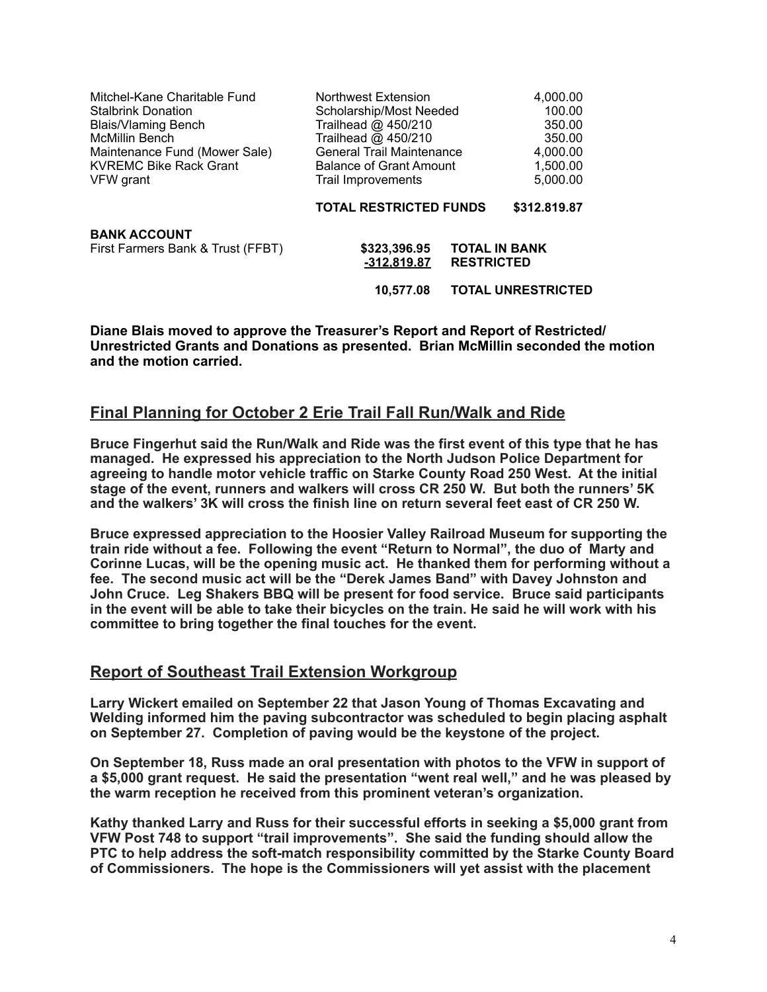| Mitchel-Kane Charitable Fund<br><b>Stalbrink Donation</b><br><b>Blais/Vlaming Bench</b><br><b>McMillin Bench</b><br>Maintenance Fund (Mower Sale)<br><b>KVREMC Bike Rack Grant</b><br>VFW grant | Northwest Extension<br>Scholarship/Most Needed<br>Trailhead @ 450/210<br>Trailhead @ 450/210<br><b>General Trail Maintenance</b><br><b>Balance of Grant Amount</b><br>Trail Improvements |                                           | 4,000.00<br>100.00<br>350.00<br>350.00<br>4,000.00<br>1.500.00<br>5,000.00 |
|-------------------------------------------------------------------------------------------------------------------------------------------------------------------------------------------------|------------------------------------------------------------------------------------------------------------------------------------------------------------------------------------------|-------------------------------------------|----------------------------------------------------------------------------|
|                                                                                                                                                                                                 | <b>TOTAL RESTRICTED FUNDS</b>                                                                                                                                                            |                                           | \$312.819.87                                                               |
| <b>BANK ACCOUNT</b><br>First Farmers Bank & Trust (FFBT)                                                                                                                                        | \$323,396.95<br><u>-312.819.87</u><br>10.577.08                                                                                                                                          | <b>TOTAL IN BANK</b><br><b>RESTRICTED</b> | <b>TOTAL UNRESTRICTED</b>                                                  |

**Diane Blais moved to approve the Treasurer's Report and Report of Restricted/ Unrestricted Grants and Donations as presented. Brian McMillin seconded the motion and the motion carried.**

# **Final Planning for October 2 Erie Trail Fall Run/Walk and Ride**

**Bruce Fingerhut said the Run/Walk and Ride was the first event of this type that he has managed. He expressed his appreciation to the North Judson Police Department for agreeing to handle motor vehicle traffic on Starke County Road 250 West. At the initial stage of the event, runners and walkers will cross CR 250 W. But both the runners' 5K and the walkers' 3K will cross the finish line on return several feet east of CR 250 W.** 

**Bruce expressed appreciation to the Hoosier Valley Railroad Museum for supporting the train ride without a fee. Following the event "Return to Normal", the duo of Marty and Corinne Lucas, will be the opening music act. He thanked them for performing without a fee. The second music act will be the "Derek James Band" with Davey Johnston and John Cruce. Leg Shakers BBQ will be present for food service. Bruce said participants in the event will be able to take their bicycles on the train. He said he will work with his committee to bring together the final touches for the event.** 

### **Report of Southeast Trail Extension Workgroup**

**Larry Wickert emailed on September 22 that Jason Young of Thomas Excavating and Welding informed him the paving subcontractor was scheduled to begin placing asphalt on September 27. Completion of paving would be the keystone of the project.** 

**On September 18, Russ made an oral presentation with photos to the VFW in support of a \$5,000 grant request. He said the presentation "went real well," and he was pleased by the warm reception he received from this prominent veteran's organization.** 

**Kathy thanked Larry and Russ for their successful efforts in seeking a \$5,000 grant from VFW Post 748 to support "trail improvements". She said the funding should allow the PTC to help address the soft-match responsibility committed by the Starke County Board of Commissioners. The hope is the Commissioners will yet assist with the placement**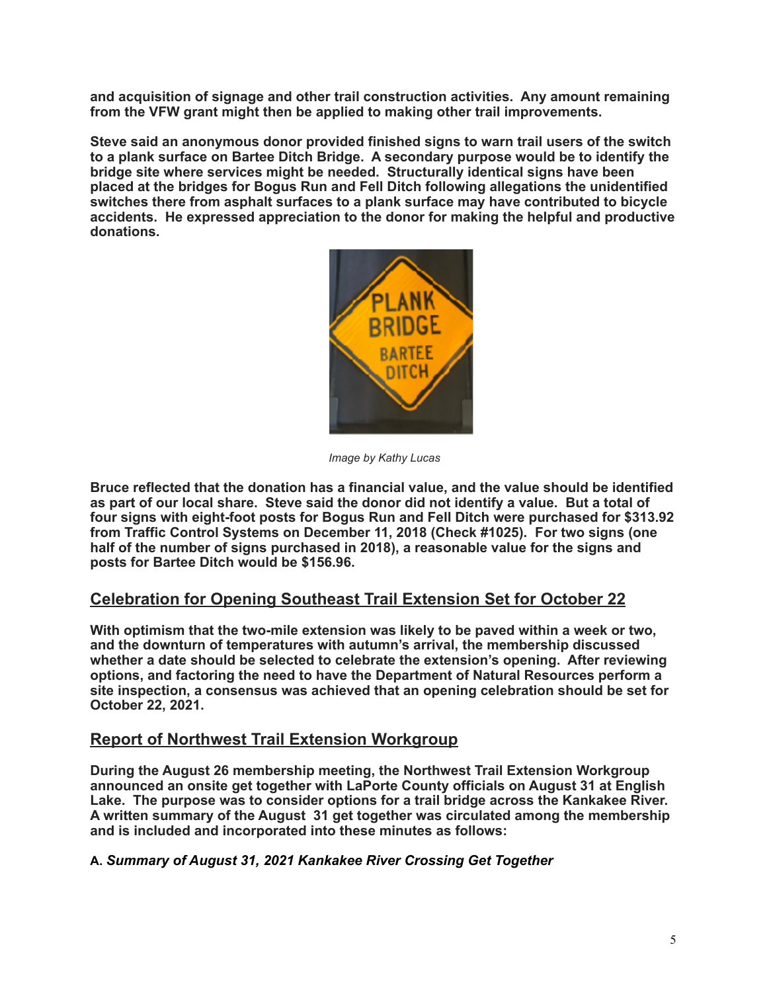**and acquisition of signage and other trail construction activities. Any amount remaining from the VFW grant might then be applied to making other trail improvements.** 

**Steve said an anonymous donor provided finished signs to warn trail users of the switch to a plank surface on Bartee Ditch Bridge. A secondary purpose would be to identify the bridge site where services might be needed. Structurally identical signs have been placed at the bridges for Bogus Run and Fell Ditch following allegations the unidentified switches there from asphalt surfaces to a plank surface may have contributed to bicycle accidents. He expressed appreciation to the donor for making the helpful and productive donations.** 



*Image by Kathy Lucas*

**Bruce reflected that the donation has a financial value, and the value should be identified as part of our local share. Steve said the donor did not identify a value. But a total of four signs with eight-foot posts for Bogus Run and Fell Ditch were purchased for \$313.92 from Traffic Control Systems on December 11, 2018 (Check #1025). For two signs (one half of the number of signs purchased in 2018), a reasonable value for the signs and posts for Bartee Ditch would be \$156.96.**

# **Celebration for Opening Southeast Trail Extension Set for October 22**

**With optimism that the two-mile extension was likely to be paved within a week or two, and the downturn of temperatures with autumn's arrival, the membership discussed whether a date should be selected to celebrate the extension's opening. After reviewing options, and factoring the need to have the Department of Natural Resources perform a site inspection, a consensus was achieved that an opening celebration should be set for October 22, 2021.** 

### **Report of Northwest Trail Extension Workgroup**

**During the August 26 membership meeting, the Northwest Trail Extension Workgroup announced an onsite get together with LaPorte County officials on August 31 at English Lake. The purpose was to consider options for a trail bridge across the Kankakee River. A written summary of the August 31 get together was circulated among the membership and is included and incorporated into these minutes as follows:** 

### **A.** *Summary of August 31, 2021 Kankakee River Crossing Get Together*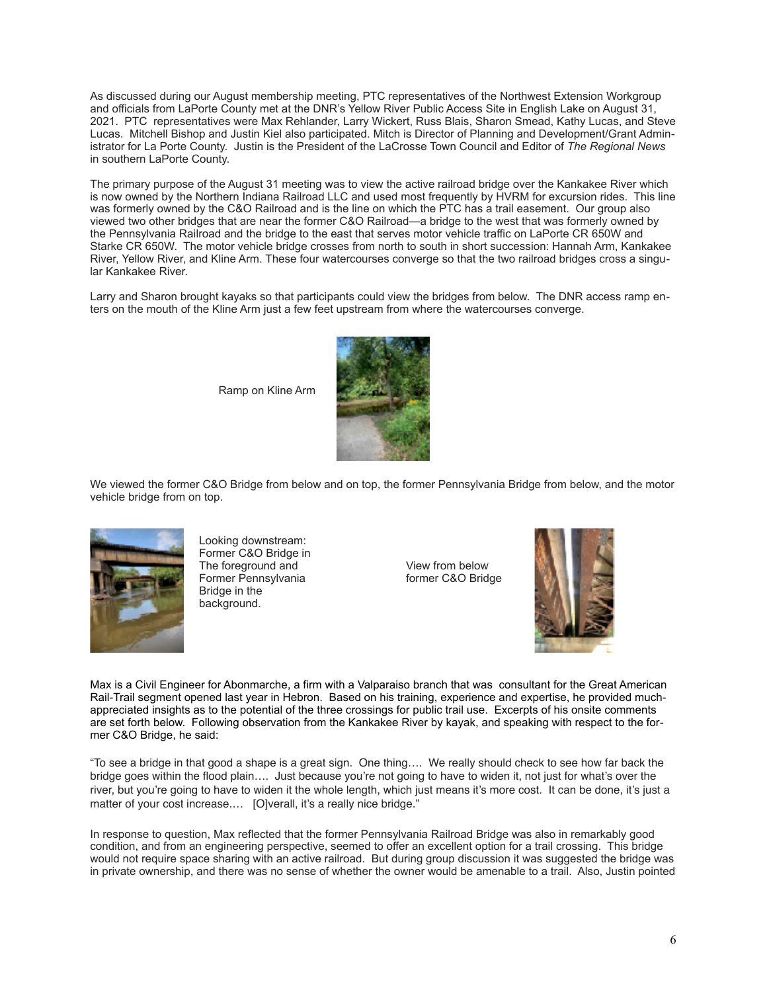As discussed during our August membership meeting, PTC representatives of the Northwest Extension Workgroup and officials from LaPorte County met at the DNR's Yellow River Public Access Site in English Lake on August 31, 2021. PTC representatives were Max Rehlander, Larry Wickert, Russ Blais, Sharon Smead, Kathy Lucas, and Steve Lucas. Mitchell Bishop and Justin Kiel also participated. Mitch is Director of Planning and Development/Grant Administrator for La Porte County. Justin is the President of the LaCrosse Town Council and Editor of *The Regional News* in southern LaPorte County.

The primary purpose of the August 31 meeting was to view the active railroad bridge over the Kankakee River which is now owned by the Northern Indiana Railroad LLC and used most frequently by HVRM for excursion rides. This line was formerly owned by the C&O Railroad and is the line on which the PTC has a trail easement. Our group also viewed two other bridges that are near the former C&O Railroad—a bridge to the west that was formerly owned by the Pennsylvania Railroad and the bridge to the east that serves motor vehicle traffic on LaPorte CR 650W and Starke CR 650W. The motor vehicle bridge crosses from north to south in short succession: Hannah Arm, Kankakee River, Yellow River, and Kline Arm. These four watercourses converge so that the two railroad bridges cross a singular Kankakee River.

Larry and Sharon brought kayaks so that participants could view the bridges from below. The DNR access ramp enters on the mouth of the Kline Arm just a few feet upstream from where the watercourses converge.

Ramp on Kline Arm



We viewed the former C&O Bridge from below and on top, the former Pennsylvania Bridge from below, and the motor vehicle bridge from on top.



Looking downstream: Former C&O Bridge in The foreground and **View from below** Former Pennsylvania former C&O Bridge Bridge in the background.



Max is a Civil Engineer for Abonmarche, a firm with a Valparaiso branch that was consultant for the Great American Rail-Trail segment opened last year in Hebron. Based on his training, experience and expertise, he provided muchappreciated insights as to the potential of the three crossings for public trail use. Excerpts of his onsite comments are set forth below. Following observation from the Kankakee River by kayak, and speaking with respect to the former C&O Bridge, he said:

"To see a bridge in that good a shape is a great sign. One thing…. We really should check to see how far back the bridge goes within the flood plain…. Just because you're not going to have to widen it, not just for what's over the river, but you're going to have to widen it the whole length, which just means it's more cost. It can be done, it's just a matter of your cost increase.... [O]verall, it's a really nice bridge."

In response to question, Max reflected that the former Pennsylvania Railroad Bridge was also in remarkably good condition, and from an engineering perspective, seemed to offer an excellent option for a trail crossing. This bridge would not require space sharing with an active railroad. But during group discussion it was suggested the bridge was in private ownership, and there was no sense of whether the owner would be amenable to a trail. Also, Justin pointed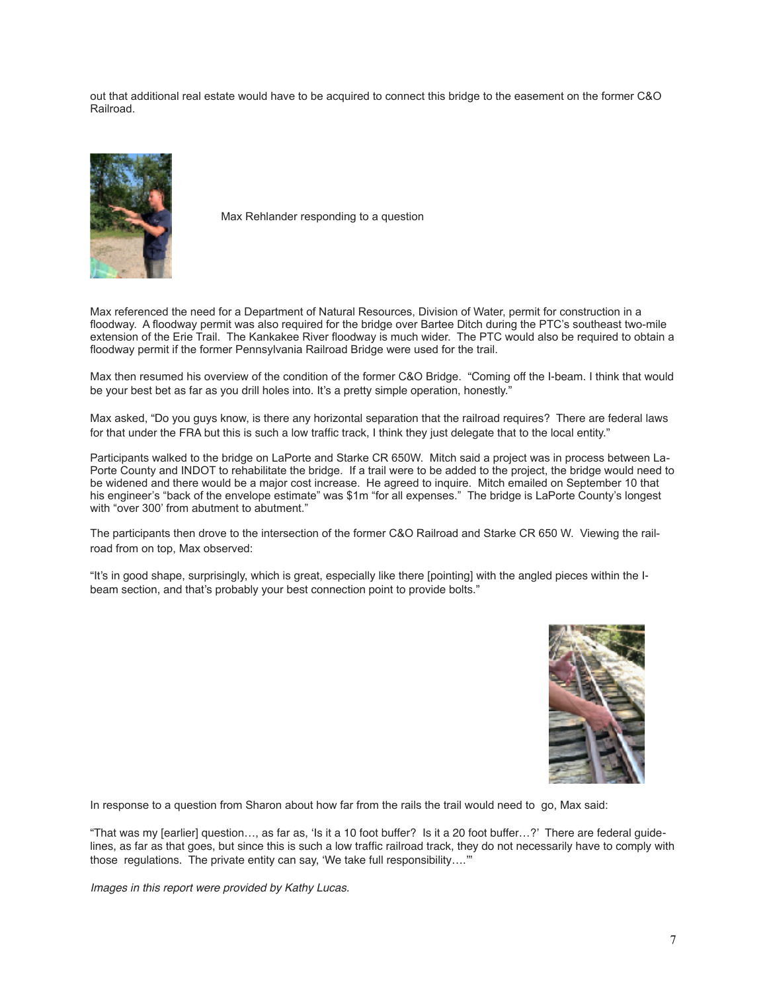out that additional real estate would have to be acquired to connect this bridge to the easement on the former C&O Railroad.



Max Rehlander responding to a question

Max referenced the need for a Department of Natural Resources, Division of Water, permit for construction in a floodway. A floodway permit was also required for the bridge over Bartee Ditch during the PTC's southeast two-mile extension of the Erie Trail. The Kankakee River floodway is much wider. The PTC would also be required to obtain a floodway permit if the former Pennsylvania Railroad Bridge were used for the trail.

Max then resumed his overview of the condition of the former C&O Bridge. "Coming off the I-beam. I think that would be your best bet as far as you drill holes into. It's a pretty simple operation, honestly."

Max asked, "Do you guys know, is there any horizontal separation that the railroad requires? There are federal laws for that under the FRA but this is such a low traffic track, I think they just delegate that to the local entity."

Participants walked to the bridge on LaPorte and Starke CR 650W. Mitch said a project was in process between La-Porte County and INDOT to rehabilitate the bridge. If a trail were to be added to the project, the bridge would need to be widened and there would be a major cost increase. He agreed to inquire. Mitch emailed on September 10 that his engineer's "back of the envelope estimate" was \$1m "for all expenses." The bridge is LaPorte County's longest with "over 300' from abutment to abutment."

The participants then drove to the intersection of the former C&O Railroad and Starke CR 650 W. Viewing the railroad from on top, Max observed:

"It's in good shape, surprisingly, which is great, especially like there [pointing] with the angled pieces within the Ibeam section, and that's probably your best connection point to provide bolts."



In response to a question from Sharon about how far from the rails the trail would need to go, Max said:

"That was my [earlier] question…, as far as, 'Is it a 10 foot buffer? Is it a 20 foot buffer…?' There are federal guidelines, as far as that goes, but since this is such a low traffic railroad track, they do not necessarily have to comply with those regulations. The private entity can say, 'We take full responsibility….'"

*Images in this report were provided by Kathy Lucas.*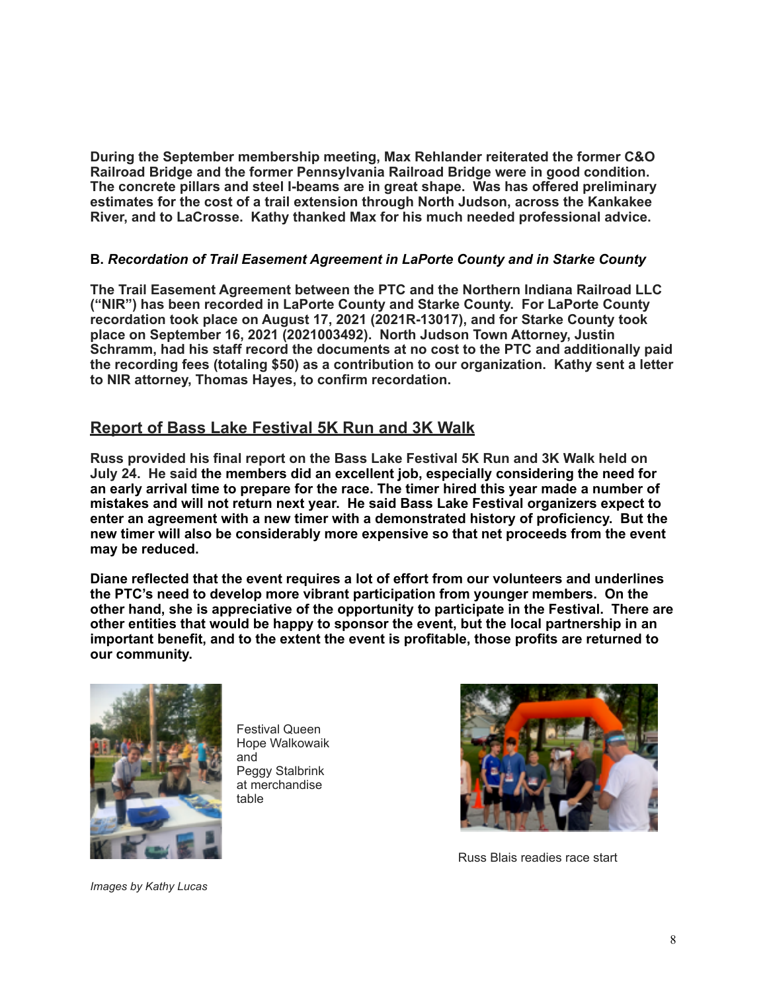**During the September membership meeting, Max Rehlander reiterated the former C&O Railroad Bridge and the former Pennsylvania Railroad Bridge were in good condition. The concrete pillars and steel I-beams are in great shape. Was has offered preliminary estimates for the cost of a trail extension through North Judson, across the Kankakee River, and to LaCrosse. Kathy thanked Max for his much needed professional advice.** 

### **B.** *Recordation of Trail Easement Agreement in LaPorte County and in Starke County*

**The Trail Easement Agreement between the PTC and the Northern Indiana Railroad LLC ("NIR") has been recorded in LaPorte County and Starke County. For LaPorte County recordation took place on August 17, 2021 (2021R-13017), and for Starke County took place on September 16, 2021 (2021003492). North Judson Town Attorney, Justin Schramm, had his staff record the documents at no cost to the PTC and additionally paid the recording fees (totaling \$50) as a contribution to our organization. Kathy sent a letter to NIR attorney, Thomas Hayes, to confirm recordation.** 

# **Report of Bass Lake Festival 5K Run and 3K Walk**

**Russ provided his final report on the Bass Lake Festival 5K Run and 3K Walk held on July 24. He said the members did an excellent job, especially considering the need for an early arrival time to prepare for the race. The timer hired this year made a number of mistakes and will not return next year. He said Bass Lake Festival organizers expect to enter an agreement with a new timer with a demonstrated history of proficiency. But the new timer will also be considerably more expensive so that net proceeds from the event may be reduced.**

**Diane reflected that the event requires a lot of effort from our volunteers and underlines the PTC's need to develop more vibrant participation from younger members. On the other hand, she is appreciative of the opportunity to participate in the Festival. There are other entities that would be happy to sponsor the event, but the local partnership in an important benefit, and to the extent the event is profitable, those profits are returned to our community.**



Festival Queen Hope Walkowaik and Peggy Stalbrink at merchandise table



Russ Blais readies race start

*Images by Kathy Lucas*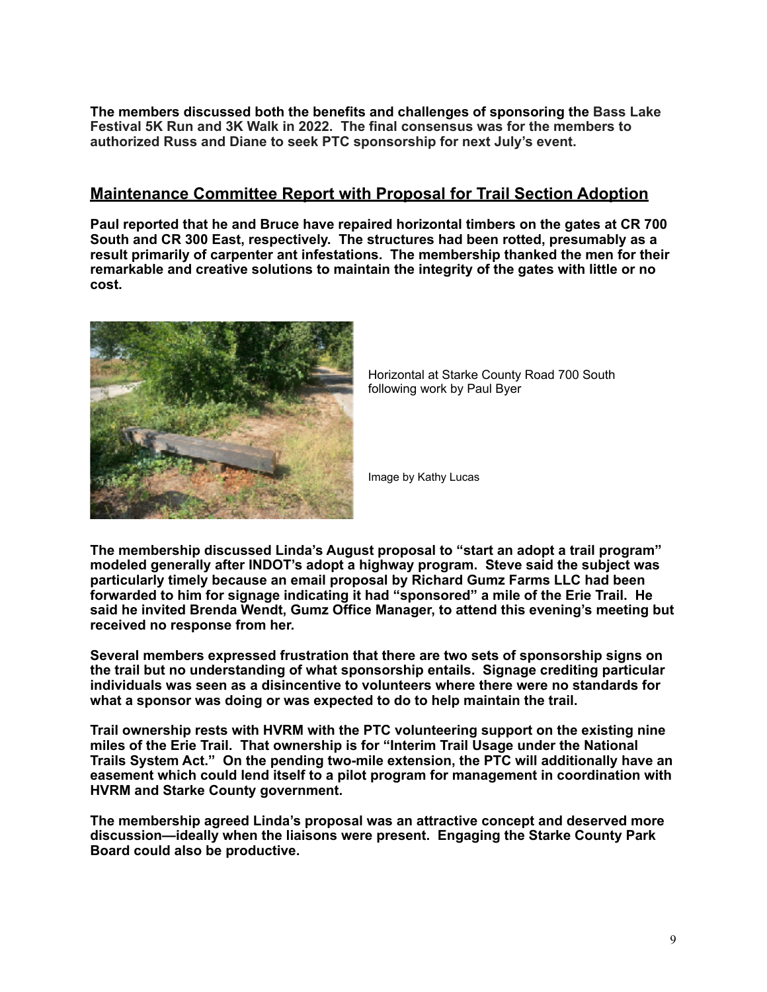**The members discussed both the benefits and challenges of sponsoring the Bass Lake Festival 5K Run and 3K Walk in 2022. The final consensus was for the members to authorized Russ and Diane to seek PTC sponsorship for next July's event.** 

## **Maintenance Committee Report with Proposal for Trail Section Adoption**

**Paul reported that he and Bruce have repaired horizontal timbers on the gates at CR 700 South and CR 300 East, respectively. The structures had been rotted, presumably as a result primarily of carpenter ant infestations. The membership thanked the men for their remarkable and creative solutions to maintain the integrity of the gates with little or no cost.**



Horizontal at Starke County Road 700 South following work by Paul Byer

Image by Kathy Lucas

**The membership discussed Linda's August proposal to "start an adopt a trail program" modeled generally after INDOT's adopt a highway program. Steve said the subject was particularly timely because an email proposal by Richard Gumz Farms LLC had been forwarded to him for signage indicating it had "sponsored" a mile of the Erie Trail. He said he invited Brenda Wendt, Gumz Office Manager, to attend this evening's meeting but received no response from her.** 

**Several members expressed frustration that there are two sets of sponsorship signs on the trail but no understanding of what sponsorship entails. Signage crediting particular individuals was seen as a disincentive to volunteers where there were no standards for what a sponsor was doing or was expected to do to help maintain the trail.** 

**Trail ownership rests with HVRM with the PTC volunteering support on the existing nine miles of the Erie Trail. That ownership is for "Interim Trail Usage under the National Trails System Act." On the pending two-mile extension, the PTC will additionally have an easement which could lend itself to a pilot program for management in coordination with HVRM and Starke County government.** 

**The membership agreed Linda's proposal was an attractive concept and deserved more discussion—ideally when the liaisons were present. Engaging the Starke County Park Board could also be productive.**